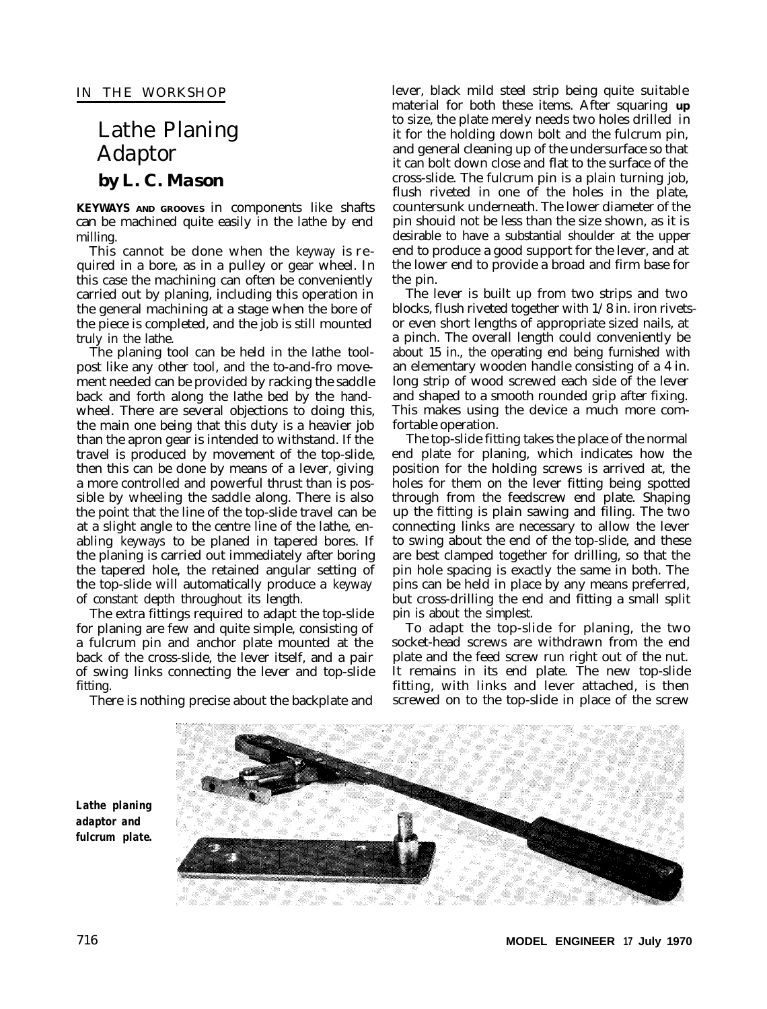# Lathe Planing Adaptor *by L. C. Mason*

**KEYWAYS AND GROOVES** in components like shafts can be machined quite easily in the lathe by end milling.

This cannot be done when the keyway is required in a bore, as in a pulley or gear wheel. In this case the machining can often be conveniently carried out by planing, including this operation in the general machining at a stage when the bore of the piece is completed, and the job is still mounted truly in the lathe.

The planing tool can be held in the lathe toolpost like any other tool, and the to-and-fro movement needed can be provided by racking the saddle back and forth along the lathe bed by the handwheel. There are several objections to doing this, the main one being that this duty is a heavier job than the apron gear is intended to withstand. If the travel is produced by movement of the top-slide, then this can be done by means of a lever, giving a more controlled and powerful thrust than is possible by wheeling the saddle along. There is also the point that the line of the top-slide travel can be at a slight angle to the centre line of the lathe, enabling keyways to be planed in tapered bores. If the planing is carried out immediately after boring the tapered hole, the retained angular setting of the top-slide will automatically produce a keyway of constant depth throughout its length.

The extra fittings required to adapt the top-slide for planing are few and quite simple, consisting of a fulcrum pin and anchor plate mounted at the back of the cross-slide, the lever itself, and a pair of swing links connecting the lever and top-slide fitting.

There is nothing precise about the backplate and

lever, black mild steel strip being quite suitable material for both these items. After squaring **up** to size, the plate merely needs two holes drilled in it for the holding down bolt and the fulcrum pin, and general cleaning up of the undersurface so that it can bolt down close and flat to the surface of the cross-slide. The fulcrum pin is a plain turning job, flush riveted in one of the holes in the plate, countersunk underneath. The lower diameter of the pin shouid not be less than the size shown, as it is desirable to have a substantial shoulder at the upper end to produce a good support for the lever, and at the lower end to provide a broad and firm base for the pin.

The lever is built up from two strips and two blocks, flush riveted together with 1/8 in. iron rivetsor even short lengths of appropriate sized nails, at a pinch. The overall length could conveniently be about 15 in., the operating end being furnished with an elementary wooden handle consisting of a 4 in. long strip of wood screwed each side of the lever and shaped to a smooth rounded grip after fixing. This makes using the device a much more comfortable operation.

The top-slide fitting takes the place of the normal end plate for planing, which indicates how the position for the holding screws is arrived at, the holes for them on the lever fitting being spotted through from the feedscrew end plate. Shaping up the fitting is plain sawing and filing. The two connecting links are necessary to allow the lever to swing about the end of the top-slide, and these are best clamped together for drilling, so that the pin hole spacing is exactly the same in both. The pins can be held in place by any means preferred, but cross-drilling the end and fitting a small split pin is about the simplest.

To adapt the top-slide for planing, the two socket-head screws are withdrawn from the end plate and the feed screw run right out of the nut. It remains in its end plate. The new top-slide fitting, with links and lever attached, is then screwed on to the top-slide in place of the screw



*Lathe planing adaptor and fulcrum plate.*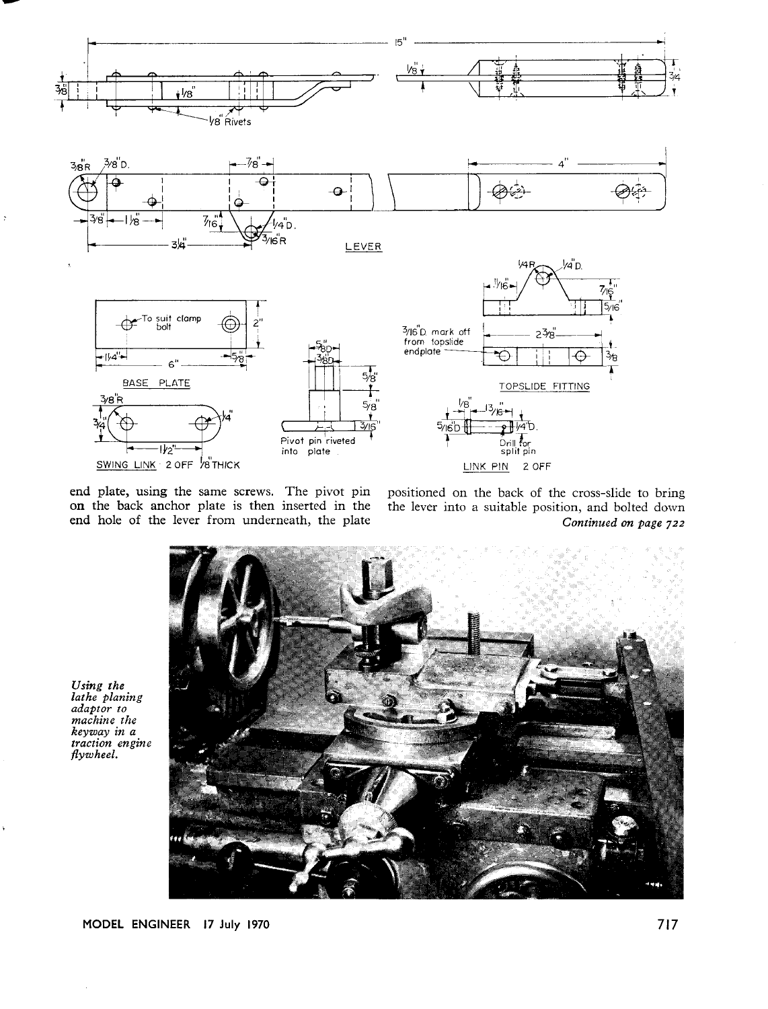

end plate, using the same screws. The pivot pin on the back anchor plate is then inserted in the end hole of the lever from underneath, the plate

positioned on the back of the cross-slide to bring the lever into a suitable position, and bolted down Continued on page 722



Using the<br>lathe planing<br>adaptor to machine the keyway in a traction engine flywheel.